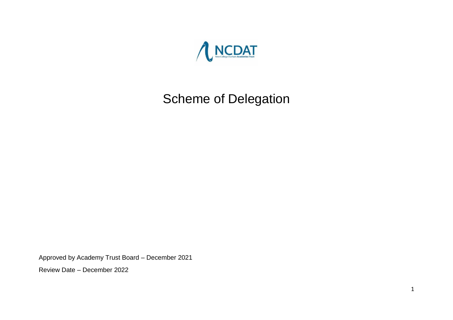

# Scheme of Delegation

Approved by Academy Trust Board – December 2021

Review Date – December 2022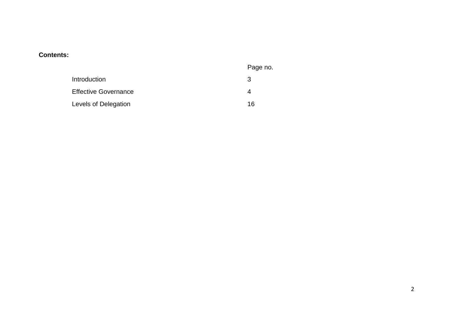### **Contents:**

|                             | Page no. |
|-----------------------------|----------|
| Introduction                | 3        |
| <b>Effective Governance</b> |          |
| Levels of Delegation        | 16       |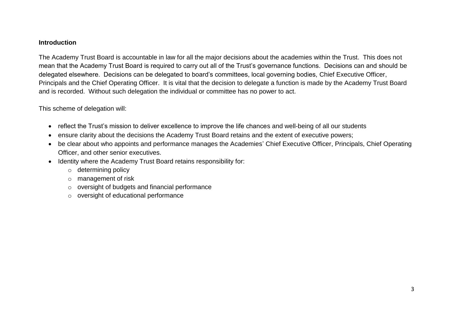#### **Introduction**

The Academy Trust Board is accountable in law for all the major decisions about the academies within the Trust. This does not mean that the Academy Trust Board is required to carry out all of the Trust's governance functions. Decisions can and should be delegated elsewhere. Decisions can be delegated to board's committees, local governing bodies, Chief Executive Officer, Principals and the Chief Operating Officer. It is vital that the decision to delegate a function is made by the Academy Trust Board and is recorded. Without such delegation the individual or committee has no power to act.

This scheme of delegation will:

- reflect the Trust's mission to deliver excellence to improve the life chances and well-being of all our students
- ensure clarity about the decisions the Academy Trust Board retains and the extent of executive powers;
- be clear about who appoints and performance manages the Academies' Chief Executive Officer, Principals, Chief Operating Officer, and other senior executives.
- Identity where the Academy Trust Board retains responsibility for:
	- o determining policy
	- o management of risk
	- o oversight of budgets and financial performance
	- o oversight of educational performance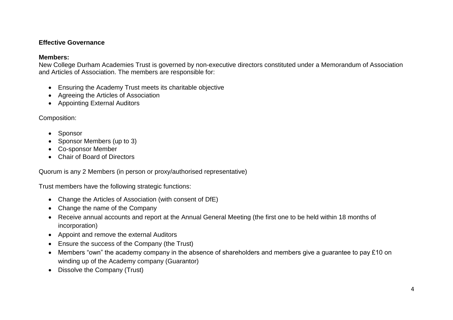### **Effective Governance**

#### **Members:**

New College Durham Academies Trust is governed by non-executive directors constituted under a Memorandum of Association and Articles of Association. The members are responsible for:

- Ensuring the Academy Trust meets its charitable objective
- Agreeing the Articles of Association
- Appointing External Auditors

Composition:

- Sponsor
- Sponsor Members (up to 3)
- Co-sponsor Member
- Chair of Board of Directors

Quorum is any 2 Members (in person or proxy/authorised representative)

Trust members have the following strategic functions:

- Change the Articles of Association (with consent of DfE)
- Change the name of the Company
- Receive annual accounts and report at the Annual General Meeting (the first one to be held within 18 months of incorporation)
- Appoint and remove the external Auditors
- Ensure the success of the Company (the Trust)
- Members "own" the academy company in the absence of shareholders and members give a guarantee to pay £10 on winding up of the Academy company (Guarantor)
- Dissolve the Company (Trust)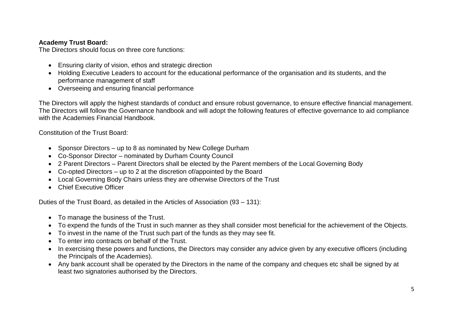### **Academy Trust Board:**

The Directors should focus on three core functions:

- Ensuring clarity of vision, ethos and strategic direction
- Holding Executive Leaders to account for the educational performance of the organisation and its students, and the performance management of staff
- Overseeing and ensuring financial performance

The Directors will apply the highest standards of conduct and ensure robust governance, to ensure effective financial management. The Directors will follow the Governance handbook and will adopt the following features of effective governance to aid compliance with the Academies Financial Handbook.

Constitution of the Trust Board:

- Sponsor Directors up to 8 as nominated by New College Durham
- Co-Sponsor Director nominated by Durham County Council
- 2 Parent Directors Parent Directors shall be elected by the Parent members of the Local Governing Body
- Co-opted Directors up to 2 at the discretion of/appointed by the Board
- Local Governing Body Chairs unless they are otherwise Directors of the Trust
- Chief Executive Officer

Duties of the Trust Board, as detailed in the Articles of Association (93 – 131):

- To manage the business of the Trust.
- To expend the funds of the Trust in such manner as they shall consider most beneficial for the achievement of the Objects.
- To invest in the name of the Trust such part of the funds as they may see fit.
- To enter into contracts on behalf of the Trust.
- In exercising these powers and functions, the Directors may consider any advice given by any executive officers (including the Principals of the Academies).
- Any bank account shall be operated by the Directors in the name of the company and cheques etc shall be signed by at least two signatories authorised by the Directors.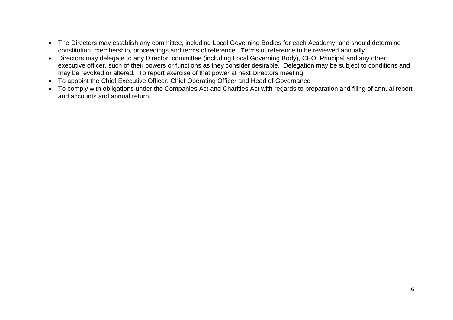- The Directors may establish any committee, including Local Governing Bodies for each Academy, and should determine constitution, membership, proceedings and terms of reference. Terms of reference to be reviewed annually.
- Directors may delegate to any Director, committee (including Local Governing Body), CEO, Principal and any other executive officer, such of their powers or functions as they consider desirable. Delegation may be subject to conditions and may be revoked or altered. To report exercise of that power at next Directors meeting.
- To appoint the Chief Executive Officer, Chief Operating Officer and Head of Governance
- To comply with obligations under the Companies Act and Charities Act with regards to preparation and filing of annual report and accounts and annual return.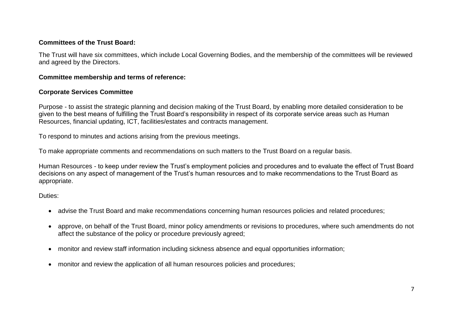### **Committees of the Trust Board:**

The Trust will have six committees, which include Local Governing Bodies, and the membership of the committees will be reviewed and agreed by the Directors.

### **Committee membership and terms of reference:**

### **Corporate Services Committee**

Purpose - to assist the strategic planning and decision making of the Trust Board, by enabling more detailed consideration to be given to the best means of fulfilling the Trust Board's responsibility in respect of its corporate service areas such as Human Resources, financial updating, ICT, facilities/estates and contracts management.

To respond to minutes and actions arising from the previous meetings.

To make appropriate comments and recommendations on such matters to the Trust Board on a regular basis.

Human Resources - to keep under review the Trust's employment policies and procedures and to evaluate the effect of Trust Board decisions on any aspect of management of the Trust's human resources and to make recommendations to the Trust Board as appropriate.

Duties:

- advise the Trust Board and make recommendations concerning human resources policies and related procedures;
- approve, on behalf of the Trust Board, minor policy amendments or revisions to procedures, where such amendments do not affect the substance of the policy or procedure previously agreed;
- monitor and review staff information including sickness absence and equal opportunities information;
- monitor and review the application of all human resources policies and procedures: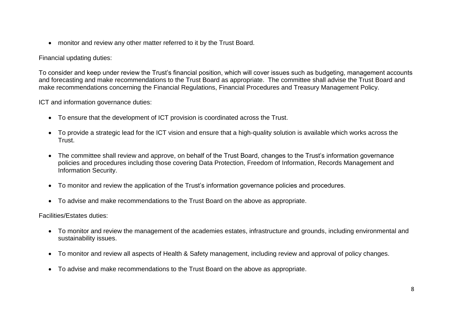• monitor and review any other matter referred to it by the Trust Board.

### Financial updating duties:

To consider and keep under review the Trust's financial position, which will cover issues such as budgeting, management accounts and forecasting and make recommendations to the Trust Board as appropriate. The committee shall advise the Trust Board and make recommendations concerning the Financial Regulations, Financial Procedures and Treasury Management Policy.

ICT and information governance duties:

- To ensure that the development of ICT provision is coordinated across the Trust.
- To provide a strategic lead for the ICT vision and ensure that a high-quality solution is available which works across the Trust.
- The committee shall review and approve, on behalf of the Trust Board, changes to the Trust's information governance policies and procedures including those covering Data Protection, Freedom of Information, Records Management and Information Security.
- To monitor and review the application of the Trust's information governance policies and procedures.
- To advise and make recommendations to the Trust Board on the above as appropriate.

Facilities/Estates duties:

- To monitor and review the management of the academies estates, infrastructure and grounds, including environmental and sustainability issues.
- To monitor and review all aspects of Health & Safety management, including review and approval of policy changes.
- To advise and make recommendations to the Trust Board on the above as appropriate.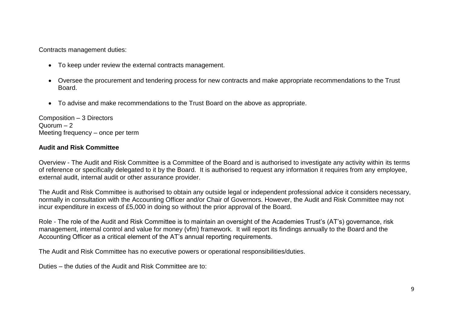Contracts management duties:

- To keep under review the external contracts management.
- Oversee the procurement and tendering process for new contracts and make appropriate recommendations to the Trust Board.
- To advise and make recommendations to the Trust Board on the above as appropriate.

Composition – 3 Directors  $Quorum - 2$ Meeting frequency – once per term

#### **Audit and Risk Committee**

Overview - The Audit and Risk Committee is a Committee of the Board and is authorised to investigate any activity within its terms of reference or specifically delegated to it by the Board. It is authorised to request any information it requires from any employee, external audit, internal audit or other assurance provider.

The Audit and Risk Committee is authorised to obtain any outside legal or independent professional advice it considers necessary, normally in consultation with the Accounting Officer and/or Chair of Governors. However, the Audit and Risk Committee may not incur expenditure in excess of £5,000 in doing so without the prior approval of the Board.

Role - The role of the Audit and Risk Committee is to maintain an oversight of the Academies Trust's (AT's) governance, risk management, internal control and value for money (vfm) framework. It will report its findings annually to the Board and the Accounting Officer as a critical element of the AT's annual reporting requirements.

The Audit and Risk Committee has no executive powers or operational responsibilities/duties.

Duties – the duties of the Audit and Risk Committee are to: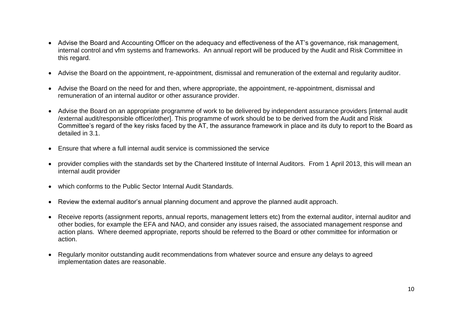- Advise the Board and Accounting Officer on the adequacy and effectiveness of the AT's governance, risk management, internal control and vfm systems and frameworks. An annual report will be produced by the Audit and Risk Committee in this regard.
- Advise the Board on the appointment, re-appointment, dismissal and remuneration of the external and regularity auditor.
- Advise the Board on the need for and then, where appropriate, the appointment, re-appointment, dismissal and remuneration of an internal auditor or other assurance provider.
- Advise the Board on an appropriate programme of work to be delivered by independent assurance providers [internal audit /external audit/responsible officer/other]. This programme of work should be to be derived from the Audit and Risk Committee's regard of the key risks faced by the AT, the assurance framework in place and its duty to report to the Board as detailed in 3.1.
- Ensure that where a full internal audit service is commissioned the service
- provider complies with the standards set by the Chartered Institute of Internal Auditors. From 1 April 2013, this will mean an internal audit provider
- which conforms to the Public Sector Internal Audit Standards.
- Review the external auditor's annual planning document and approve the planned audit approach.
- Receive reports (assignment reports, annual reports, management letters etc) from the external auditor, internal auditor and other bodies, for example the EFA and NAO, and consider any issues raised, the associated management response and action plans. Where deemed appropriate, reports should be referred to the Board or other committee for information or action.
- Regularly monitor outstanding audit recommendations from whatever source and ensure any delays to agreed implementation dates are reasonable.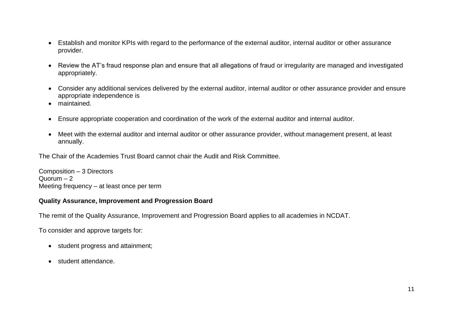- Establish and monitor KPIs with regard to the performance of the external auditor, internal auditor or other assurance provider.
- Review the AT's fraud response plan and ensure that all allegations of fraud or irregularity are managed and investigated appropriately.
- Consider any additional services delivered by the external auditor, internal auditor or other assurance provider and ensure appropriate independence is
- maintained.
- Ensure appropriate cooperation and coordination of the work of the external auditor and internal auditor.
- Meet with the external auditor and internal auditor or other assurance provider, without management present, at least annually.

The Chair of the Academies Trust Board cannot chair the Audit and Risk Committee.

Composition – 3 Directors  $Quorum - 2$ Meeting frequency – at least once per term

### **Quality Assurance, Improvement and Progression Board**

The remit of the Quality Assurance, Improvement and Progression Board applies to all academies in NCDAT.

To consider and approve targets for:

- student progress and attainment;
- student attendance.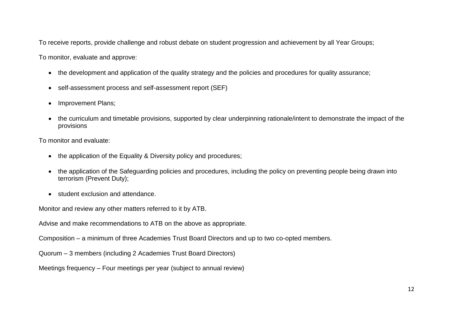To receive reports, provide challenge and robust debate on student progression and achievement by all Year Groups;

To monitor, evaluate and approve:

- the development and application of the quality strategy and the policies and procedures for quality assurance;
- self-assessment process and self-assessment report (SEF)
- Improvement Plans;
- the curriculum and timetable provisions, supported by clear underpinning rationale/intent to demonstrate the impact of the provisions

To monitor and evaluate:

- the application of the Equality & Diversity policy and procedures;
- the application of the Safeguarding policies and procedures, including the policy on preventing people being drawn into terrorism (Prevent Duty);
- student exclusion and attendance.

Monitor and review any other matters referred to it by ATB.

Advise and make recommendations to ATB on the above as appropriate.

Composition – a minimum of three Academies Trust Board Directors and up to two co-opted members.

Quorum – 3 members (including 2 Academies Trust Board Directors)

Meetings frequency – Four meetings per year (subject to annual review)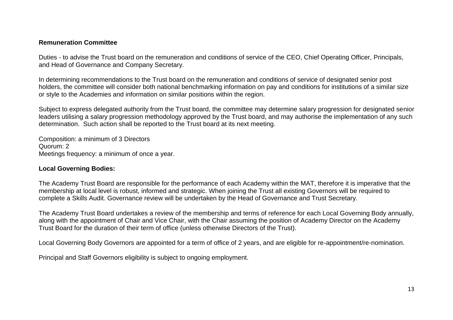#### **Remuneration Committee**

Duties - to advise the Trust board on the remuneration and conditions of service of the CEO, Chief Operating Officer, Principals, and Head of Governance and Company Secretary.

In determining recommendations to the Trust board on the remuneration and conditions of service of designated senior post holders, the committee will consider both national benchmarking information on pay and conditions for institutions of a similar size or style to the Academies and information on similar positions within the region.

Subject to express delegated authority from the Trust board, the committee may determine salary progression for designated senior leaders utilising a salary progression methodology approved by the Trust board, and may authorise the implementation of any such determination. Such action shall be reported to the Trust board at its next meeting.

Composition: a minimum of 3 Directors Quorum: 2 Meetings frequency: a minimum of once a year.

### **Local Governing Bodies:**

The Academy Trust Board are responsible for the performance of each Academy within the MAT, therefore it is imperative that the membership at local level is robust, informed and strategic. When joining the Trust all existing Governors will be required to complete a Skills Audit. Governance review will be undertaken by the Head of Governance and Trust Secretary.

The Academy Trust Board undertakes a review of the membership and terms of reference for each Local Governing Body annually, along with the appointment of Chair and Vice Chair, with the Chair assuming the position of Academy Director on the Academy Trust Board for the duration of their term of office (unless otherwise Directors of the Trust).

Local Governing Body Governors are appointed for a term of office of 2 years, and are eligible for re-appointment/re-nomination.

Principal and Staff Governors eligibility is subject to ongoing employment.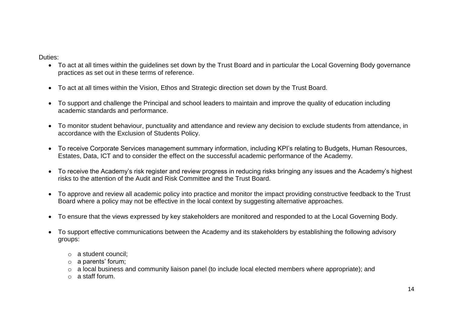Duties:

- To act at all times within the guidelines set down by the Trust Board and in particular the Local Governing Body governance practices as set out in these terms of reference.
- To act at all times within the Vision, Ethos and Strategic direction set down by the Trust Board.
- To support and challenge the Principal and school leaders to maintain and improve the quality of education including academic standards and performance.
- To monitor student behaviour, punctuality and attendance and review any decision to exclude students from attendance, in accordance with the Exclusion of Students Policy.
- To receive Corporate Services management summary information, including KPI's relating to Budgets, Human Resources, Estates, Data, ICT and to consider the effect on the successful academic performance of the Academy.
- To receive the Academy's risk register and review progress in reducing risks bringing any issues and the Academy's highest risks to the attention of the Audit and Risk Committee and the Trust Board.
- To approve and review all academic policy into practice and monitor the impact providing constructive feedback to the Trust Board where a policy may not be effective in the local context by suggesting alternative approaches.
- To ensure that the views expressed by key stakeholders are monitored and responded to at the Local Governing Body.
- To support effective communications between the Academy and its stakeholders by establishing the following advisory groups:
	- o a student council;
	- o a parents' forum;
	- o a local business and community liaison panel (to include local elected members where appropriate); and
	- o a staff forum.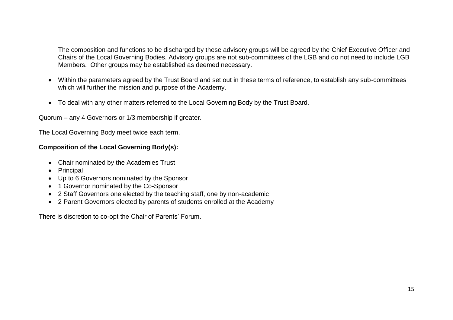The composition and functions to be discharged by these advisory groups will be agreed by the Chief Executive Officer and Chairs of the Local Governing Bodies. Advisory groups are not sub-committees of the LGB and do not need to include LGB Members. Other groups may be established as deemed necessary.

- Within the parameters agreed by the Trust Board and set out in these terms of reference, to establish any sub-committees which will further the mission and purpose of the Academy.
- To deal with any other matters referred to the Local Governing Body by the Trust Board.

Quorum – any 4 Governors or 1/3 membership if greater.

The Local Governing Body meet twice each term.

### **Composition of the Local Governing Body(s):**

- Chair nominated by the Academies Trust
- Principal
- Up to 6 Governors nominated by the Sponsor
- 1 Governor nominated by the Co-Sponsor
- 2 Staff Governors one elected by the teaching staff, one by non-academic
- 2 Parent Governors elected by parents of students enrolled at the Academy

There is discretion to co-opt the Chair of Parents' Forum.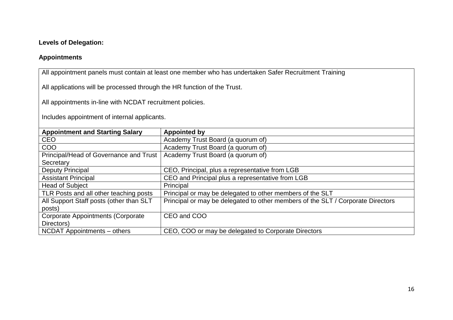### **Levels of Delegation:**

### **Appointments**

All appointment panels must contain at least one member who has undertaken Safer Recruitment Training

All applications will be processed through the HR function of the Trust.

All appointments in-line with NCDAT recruitment policies.

Includes appointment of internal applicants.

| <b>Appointment and Starting Salary</b>    | <b>Appointed by</b>                                                             |
|-------------------------------------------|---------------------------------------------------------------------------------|
| <b>CEO</b>                                | Academy Trust Board (a quorum of)                                               |
| COO                                       | Academy Trust Board (a quorum of)                                               |
| Principal/Head of Governance and Trust    | Academy Trust Board (a quorum of)                                               |
| Secretary                                 |                                                                                 |
| Deputy Principal                          | CEO, Principal, plus a representative from LGB                                  |
| <b>Assistant Principal</b>                | CEO and Principal plus a representative from LGB                                |
| <b>Head of Subject</b>                    | Principal                                                                       |
| TLR Posts and all other teaching posts    | Principal or may be delegated to other members of the SLT                       |
| All Support Staff posts (other than SLT   | Principal or may be delegated to other members of the SLT / Corporate Directors |
| posts)                                    |                                                                                 |
| <b>Corporate Appointments (Corporate)</b> | CEO and COO                                                                     |
| Directors)                                |                                                                                 |
| NCDAT Appointments – others               | CEO, COO or may be delegated to Corporate Directors                             |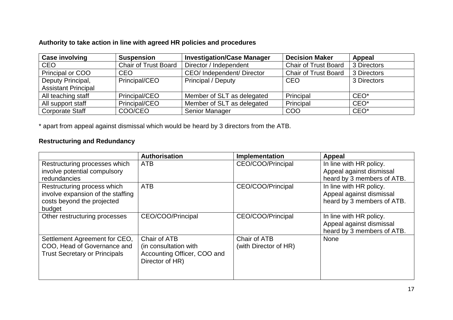### **Authority to take action in line with agreed HR policies and procedures**

| <b>Case involving</b>      | <b>Suspension</b>           | <b>Investigation/Case Manager</b> | <b>Decision Maker</b>       | <b>Appeal</b>    |
|----------------------------|-----------------------------|-----------------------------------|-----------------------------|------------------|
| <b>CEO</b>                 | <b>Chair of Trust Board</b> | Director / Independent            | <b>Chair of Trust Board</b> | 3 Directors      |
| Principal or COO           | <b>CEO</b>                  | CEO/Independent/Director          | <b>Chair of Trust Board</b> | 3 Directors      |
| Deputy Principal,          | Principal/CEO               | <b>Principal / Deputy</b>         | CEO                         | 3 Directors      |
| <b>Assistant Principal</b> |                             |                                   |                             |                  |
| All teaching staff         | Principal/CEO               | Member of SLT as delegated        | Principal                   | CEO <sup>*</sup> |
| All support staff          | Principal/CEO               | Member of SLT as delegated        | Principal                   | $CEO*$           |
| <b>Corporate Staff</b>     | COO/CEO                     | Senior Manager                    | COO                         | $CEO*$           |

\* apart from appeal against dismissal which would be heard by 3 directors from the ATB.

# **Restructuring and Redundancy**

|                                                                                                          | Authorisation                                                                           | Implementation                        | <b>Appeal</b>                                                                     |
|----------------------------------------------------------------------------------------------------------|-----------------------------------------------------------------------------------------|---------------------------------------|-----------------------------------------------------------------------------------|
| Restructuring processes which<br>involve potential compulsory<br><b>redundancies</b>                     | ATB                                                                                     | CEO/COO/Principal                     | In line with HR policy.<br>Appeal against dismissal<br>heard by 3 members of ATB. |
| Restructuring process which<br>involve expansion of the staffing<br>costs beyond the projected<br>budget | <b>ATB</b>                                                                              | CEO/COO/Principal                     | In line with HR policy.<br>Appeal against dismissal<br>heard by 3 members of ATB. |
| Other restructuring processes                                                                            | CEO/COO/Principal                                                                       | CEO/COO/Principal                     | In line with HR policy.<br>Appeal against dismissal<br>heard by 3 members of ATB. |
| Settlement Agreement for CEO,<br>COO, Head of Governance and<br><b>Trust Secretary or Principals</b>     | Chair of ATB<br>(in consultation with<br>Accounting Officer, COO and<br>Director of HR) | Chair of ATB<br>(with Director of HR) | <b>None</b>                                                                       |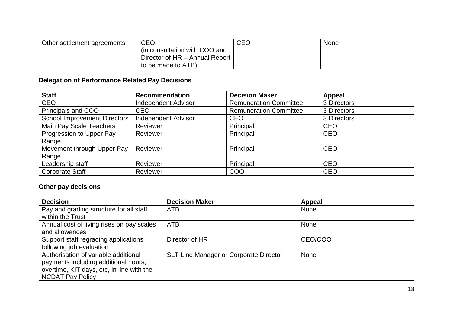| Other settlement agreements | <b>CEO</b>                     | CEO | <b>None</b> |
|-----------------------------|--------------------------------|-----|-------------|
|                             | (in consultation with COO and  |     |             |
|                             | Director of HR - Annual Report |     |             |
|                             | to be made to ATB)             |     |             |

# **Delegation of Performance Related Pay Decisions**

| <b>Staff</b>                        | <b>Recommendation</b>      | <b>Decision Maker</b>         | <b>Appeal</b> |
|-------------------------------------|----------------------------|-------------------------------|---------------|
| <b>CEO</b>                          | <b>Independent Advisor</b> | <b>Remuneration Committee</b> | 3 Directors   |
| Principals and COO                  | <b>CEO</b>                 | <b>Remuneration Committee</b> | 3 Directors   |
| <b>School Improvement Directors</b> | <b>Independent Advisor</b> | <b>CEO</b>                    | 3 Directors   |
| Main Pay Scale Teachers             | Reviewer                   | Principal                     | <b>CEO</b>    |
| Progression to Upper Pay            | Reviewer                   | Principal                     | <b>CEO</b>    |
| Range                               |                            |                               |               |
| Movement through Upper Pay          | Reviewer                   | Principal                     | <b>CEO</b>    |
| Range                               |                            |                               |               |
| Leadership staff                    | Reviewer                   | Principal                     | <b>CEO</b>    |
| <b>Corporate Staff</b>              | Reviewer                   | <b>COO</b>                    | <b>CEO</b>    |

# **Other pay decisions**

| <b>Decision</b>                           | <b>Decision Maker</b>                         | Appeal      |
|-------------------------------------------|-----------------------------------------------|-------------|
| Pay and grading structure for all staff   | <b>ATB</b>                                    | None        |
| within the Trust                          |                                               |             |
| Annual cost of living rises on pay scales | <b>ATB</b>                                    | None        |
| and allowances                            |                                               |             |
| Support staff regrading applications      | Director of HR                                | CEO/COO     |
| following job evaluation                  |                                               |             |
| Authorisation of variable additional      | <b>SLT Line Manager or Corporate Director</b> | <b>None</b> |
| payments including additional hours,      |                                               |             |
| overtime, KIT days, etc, in line with the |                                               |             |
| <b>NCDAT Pay Policy</b>                   |                                               |             |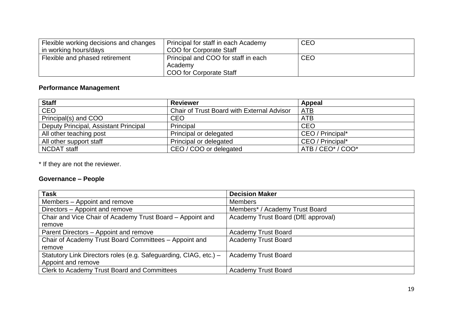| Flexible working decisions and changes<br>  in working hours/days_ | Principal for staff in each Academy<br>COO for Corporate Staff | <b>CEO</b> |
|--------------------------------------------------------------------|----------------------------------------------------------------|------------|
| Flexible and phased retirement                                     | Principal and COO for staff in each                            | CEO        |
|                                                                    | Academy                                                        |            |
|                                                                    | COO for Corporate Staff                                        |            |

# **Performance Management**

| <b>Staff</b>                          | <b>Reviewer</b>                                   | <b>Appeal</b>                             |
|---------------------------------------|---------------------------------------------------|-------------------------------------------|
| <b>CEO</b>                            | <b>Chair of Trust Board with External Advisor</b> | ATB                                       |
| Principal(s) and COO                  | <b>CEO</b>                                        | <b>ATB</b>                                |
| Deputy Principal, Assistant Principal | Principal                                         | <b>CEO</b>                                |
| All other teaching post               | Principal or delegated                            | CEO / Principal*                          |
| All other support staff               | Principal or delegated                            | CEO / Principal*                          |
| <b>NCDAT staff</b>                    | CEO / COO or delegated                            | ATB / CEO <sup>*</sup> / COO <sup>*</sup> |

\* If they are not the reviewer.

# **Governance – People**

| <b>Task</b>                                                      | <b>Decision Maker</b>              |
|------------------------------------------------------------------|------------------------------------|
| Members - Appoint and remove                                     | <b>Members</b>                     |
| Directors - Appoint and remove                                   | Members* / Academy Trust Board     |
| Chair and Vice Chair of Academy Trust Board - Appoint and        | Academy Trust Board (DfE approval) |
| remove                                                           |                                    |
| Parent Directors – Appoint and remove                            | <b>Academy Trust Board</b>         |
| Chair of Academy Trust Board Committees - Appoint and            | <b>Academy Trust Board</b>         |
| remove                                                           |                                    |
| Statutory Link Directors roles (e.g. Safeguarding, CIAG, etc.) - | <b>Academy Trust Board</b>         |
| Appoint and remove                                               |                                    |
| Clerk to Academy Trust Board and Committees                      | <b>Academy Trust Board</b>         |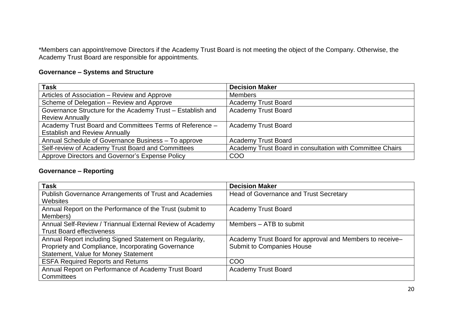\*Members can appoint/remove Directors if the Academy Trust Board is not meeting the object of the Company. Otherwise, the Academy Trust Board are responsible for appointments.

### **Governance – Systems and Structure**

| <b>Task</b>                                                | <b>Decision Maker</b>                                     |
|------------------------------------------------------------|-----------------------------------------------------------|
| Articles of Association – Review and Approve               | <b>Members</b>                                            |
| Scheme of Delegation - Review and Approve                  | <b>Academy Trust Board</b>                                |
| Governance Structure for the Academy Trust - Establish and | <b>Academy Trust Board</b>                                |
| <b>Review Annually</b>                                     |                                                           |
| Academy Trust Board and Committees Terms of Reference -    | <b>Academy Trust Board</b>                                |
| <b>Establish and Review Annually</b>                       |                                                           |
| Annual Schedule of Governance Business - To approve        | <b>Academy Trust Board</b>                                |
| Self-review of Academy Trust Board and Committees          | Academy Trust Board in consultation with Committee Chairs |
| Approve Directors and Governor's Expense Policy            | COO                                                       |

### **Governance – Reporting**

| <b>Task</b>                                               | <b>Decision Maker</b>                                    |
|-----------------------------------------------------------|----------------------------------------------------------|
| Publish Governance Arrangements of Trust and Academies    | <b>Head of Governance and Trust Secretary</b>            |
| Websites                                                  |                                                          |
| Annual Report on the Performance of the Trust (submit to  | <b>Academy Trust Board</b>                               |
| Members)                                                  |                                                          |
| Annual Self-Review / Triannual External Review of Academy | Members – ATB to submit                                  |
| <b>Trust Board effectiveness</b>                          |                                                          |
| Annual Report including Signed Statement on Regularity,   | Academy Trust Board for approval and Members to receive- |
| Propriety and Compliance, Incorporating Governance        | <b>Submit to Companies House</b>                         |
| <b>Statement, Value for Money Statement</b>               |                                                          |
| <b>ESFA Required Reports and Returns</b>                  | COO                                                      |
| Annual Report on Performance of Academy Trust Board       | <b>Academy Trust Board</b>                               |
| <b>Committees</b>                                         |                                                          |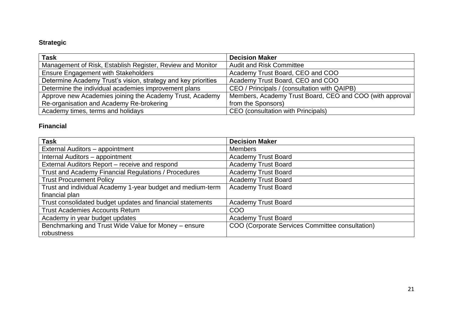### **Strategic**

| <b>Task</b>                                                   | <b>Decision Maker</b>                                    |
|---------------------------------------------------------------|----------------------------------------------------------|
| Management of Risk, Establish Register, Review and Monitor    | Audit and Risk Committee                                 |
| <b>Ensure Engagement with Stakeholders</b>                    | Academy Trust Board, CEO and COO                         |
| Determine Academy Trust's vision, strategy and key priorities | Academy Trust Board, CEO and COO                         |
| Determine the individual academies improvement plans          | CEO / Principals / (consultation with QAIPB)             |
| Approve new Academies joining the Academy Trust, Academy      | Members, Academy Trust Board, CEO and COO (with approval |
| Re-organisation and Academy Re-brokering                      | from the Sponsors)                                       |
| Academy times, terms and holidays                             | CEO (consultation with Principals)                       |

### **Financial**

| <b>Task</b>                                                | <b>Decision Maker</b>                           |
|------------------------------------------------------------|-------------------------------------------------|
| External Auditors - appointment                            | <b>Members</b>                                  |
| Internal Auditors - appointment                            | <b>Academy Trust Board</b>                      |
| External Auditors Report - receive and respond             | <b>Academy Trust Board</b>                      |
| Trust and Academy Financial Regulations / Procedures       | <b>Academy Trust Board</b>                      |
| <b>Trust Procurement Policy</b>                            | <b>Academy Trust Board</b>                      |
| Trust and individual Academy 1-year budget and medium-term | <b>Academy Trust Board</b>                      |
| financial plan                                             |                                                 |
| Trust consolidated budget updates and financial statements | <b>Academy Trust Board</b>                      |
| <b>Trust Academies Accounts Return</b>                     | <b>COO</b>                                      |
| Academy in year budget updates                             | <b>Academy Trust Board</b>                      |
| Benchmarking and Trust Wide Value for Money - ensure       | COO (Corporate Services Committee consultation) |
| robustness                                                 |                                                 |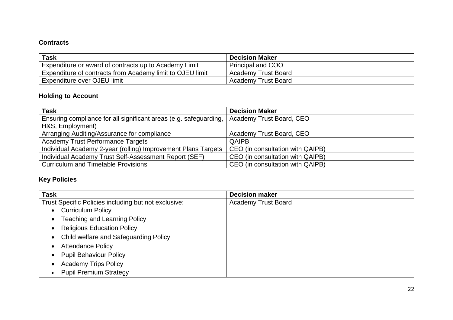### **Contracts**

| <b>Task</b>                                               | <b>Decision Maker</b>      |
|-----------------------------------------------------------|----------------------------|
| Expenditure or award of contracts up to Academy Limit     | <b>Principal and COO</b>   |
| Expenditure of contracts from Academy limit to OJEU limit | <b>Academy Trust Board</b> |
| Expenditure over OJEU limit                               | Academy Trust Board        |

# **Holding to Account**

| <b>Task</b>                                                       | <b>Decision Maker</b>            |
|-------------------------------------------------------------------|----------------------------------|
| Ensuring compliance for all significant areas (e.g. safeguarding, | Academy Trust Board, CEO         |
| H&S, Employment)                                                  |                                  |
| Arranging Auditing/Assurance for compliance                       | Academy Trust Board, CEO         |
| <b>Academy Trust Performance Targets</b>                          | <b>QAIPB</b>                     |
| Individual Academy 2-year (rolling) Improvement Plans Targets     | CEO (in consultation with QAIPB) |
| Individual Academy Trust Self-Assessment Report (SEF)             | CEO (in consultation with QAIPB) |
| <b>Curriculum and Timetable Provisions</b>                        | CEO (in consultation with QAIPB) |

# **Key Policies**

| <b>Task</b>                                          | <b>Decision maker</b>      |
|------------------------------------------------------|----------------------------|
| Trust Specific Policies including but not exclusive: | <b>Academy Trust Board</b> |
| <b>Curriculum Policy</b>                             |                            |
| <b>Teaching and Learning Policy</b><br>$\bullet$     |                            |
| <b>Religious Education Policy</b>                    |                            |
| Child welfare and Safeguarding Policy                |                            |
| <b>Attendance Policy</b>                             |                            |
| <b>Pupil Behaviour Policy</b>                        |                            |
| <b>Academy Trips Policy</b>                          |                            |
| <b>Pupil Premium Strategy</b>                        |                            |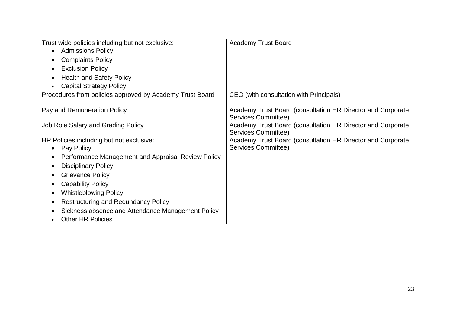| Trust wide policies including but not exclusive:         | <b>Academy Trust Board</b>                                  |
|----------------------------------------------------------|-------------------------------------------------------------|
| <b>Admissions Policy</b>                                 |                                                             |
| <b>Complaints Policy</b>                                 |                                                             |
| <b>Exclusion Policy</b>                                  |                                                             |
| <b>Health and Safety Policy</b>                          |                                                             |
| <b>Capital Strategy Policy</b>                           |                                                             |
| Procedures from policies approved by Academy Trust Board | CEO (with consultation with Principals)                     |
|                                                          |                                                             |
| Pay and Remuneration Policy                              | Academy Trust Board (consultation HR Director and Corporate |
|                                                          | <b>Services Committee)</b>                                  |
| Job Role Salary and Grading Policy                       | Academy Trust Board (consultation HR Director and Corporate |
|                                                          | Services Committee)                                         |
| HR Policies including but not exclusive:                 | Academy Trust Board (consultation HR Director and Corporate |
| Pay Policy                                               | Services Committee)                                         |
| Performance Management and Appraisal Review Policy       |                                                             |
| <b>Disciplinary Policy</b>                               |                                                             |
| <b>Grievance Policy</b>                                  |                                                             |
| <b>Capability Policy</b>                                 |                                                             |
| <b>Whistleblowing Policy</b>                             |                                                             |
| <b>Restructuring and Redundancy Policy</b>               |                                                             |
| Sickness absence and Attendance Management Policy        |                                                             |
| <b>Other HR Policies</b>                                 |                                                             |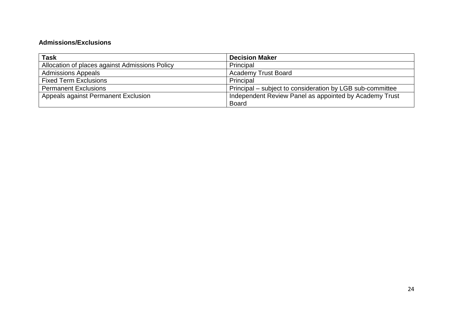### **Admissions/Exclusions**

| Task                                           | <b>Decision Maker</b>                                     |
|------------------------------------------------|-----------------------------------------------------------|
| Allocation of places against Admissions Policy | Principal                                                 |
| <b>Admissions Appeals</b>                      | <b>Academy Trust Board</b>                                |
| <b>Fixed Term Exclusions</b>                   | Principal                                                 |
| <b>Permanent Exclusions</b>                    | Principal – subject to consideration by LGB sub-committee |
| Appeals against Permanent Exclusion            | Independent Review Panel as appointed by Academy Trust    |
|                                                | <b>Board</b>                                              |